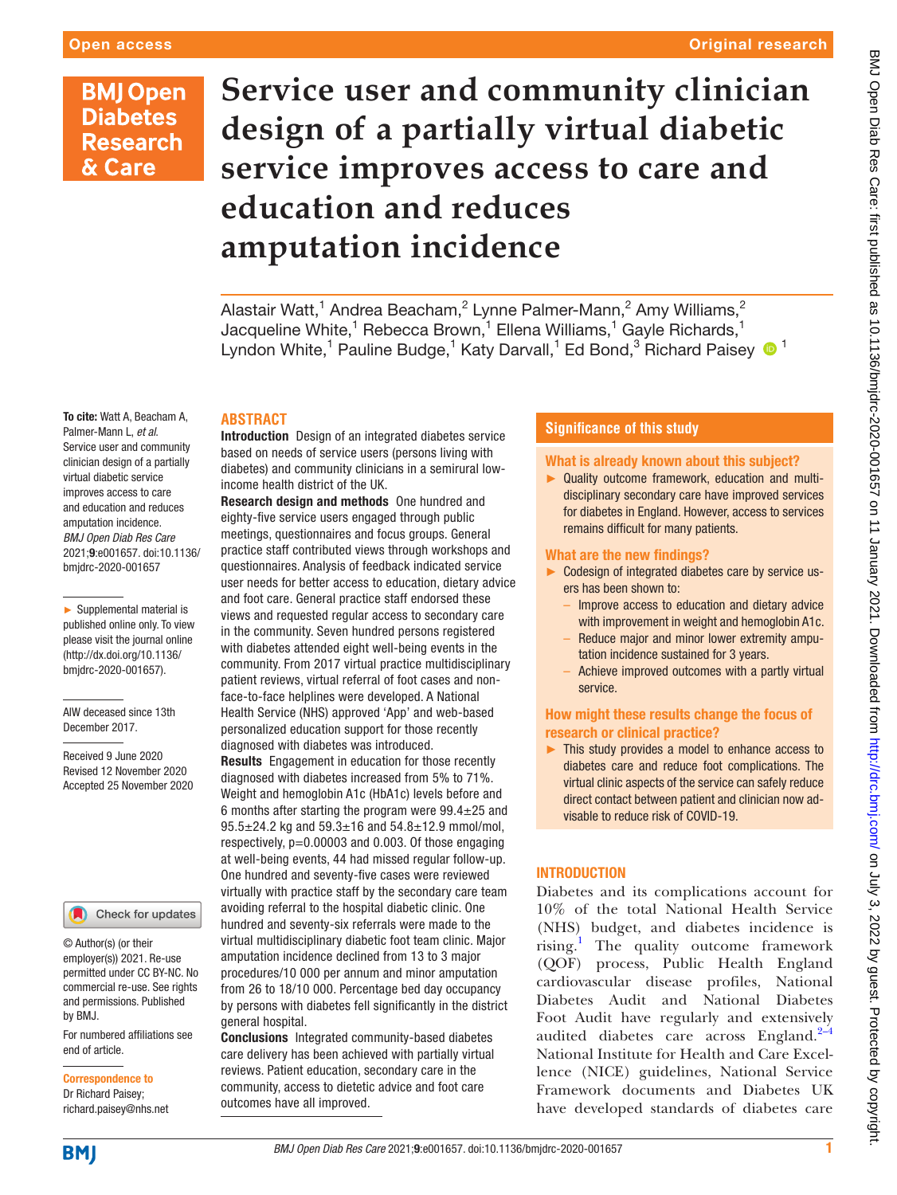#### Original research

## **BMJ Open Diabetes Research** & Care

# **Service user and community clinician design of a partially virtual diabetic service improves access to care and education and reduces amputation incidence**

Alastair Watt, $^1$  Andrea Beacham, $^2$  Lynne Palmer-Mann, $^2$  Amy Williams, $^2$ Jacqueline White, $^1$  Rebecca Brown, $^1$  Ellena Williams, $^1$  Gayle Richards, $^1$ Lyndon White,<sup>1</sup> Pauline Budge,<sup>1</sup> Katy Darvall,<sup>1</sup> Ed Bond,<sup>3</sup> Richard Paisey <sup>1</sup>

#### **ABSTRACT**

Introduction Design of an integrated diabetes service based on needs of service users (persons living with diabetes) and community clinicians in a semirural lowincome health district of the UK.

Research design and methods One hundred and eighty-five service users engaged through public meetings, questionnaires and focus groups. General practice staff contributed views through workshops and questionnaires. Analysis of feedback indicated service user needs for better access to education, dietary advice and foot care. General practice staff endorsed these views and requested regular access to secondary care in the community. Seven hundred persons registered with diabetes attended eight well-being events in the community. From 2017 virtual practice multidisciplinary patient reviews, virtual referral of foot cases and nonface-to-face helplines were developed. A National Health Service (NHS) approved 'App' and web-based personalized education support for those recently diagnosed with diabetes was introduced. Results Engagement in education for those recently diagnosed with diabetes increased from 5% to 71%. Weight and hemoglobin A1c (HbA1c) levels before and 6 months after starting the program were  $99.4 \pm 25$  and  $95.5 \pm 24.2$  kg and  $59.3 \pm 16$  and  $54.8 \pm 12.9$  mmol/mol, respectively,  $p=0.00003$  and 0.003. Of those engaging at well-being events, 44 had missed regular follow-up. One hundred and seventy-five cases were reviewed

virtually with practice staff by the secondary care team avoiding referral to the hospital diabetic clinic. One hundred and seventy-six referrals were made to the virtual multidisciplinary diabetic foot team clinic. Major amputation incidence declined from 13 to 3 major procedures/10 000 per annum and minor amputation from 26 to 18/10 000. Percentage bed day occupancy by persons with diabetes fell significantly in the district general hospital.

Conclusions Integrated community-based diabetes care delivery has been achieved with partially virtual reviews. Patient education, secondary care in the community, access to dietetic advice and foot care outcomes have all improved.

#### **Significance of this study**

#### What is already known about this subject?

► Quality outcome framework, education and multidisciplinary secondary care have improved services for diabetes in England. However, access to services remains difficult for many patients.

#### What are the new findings?

- ► Codesign of integrated diabetes care by service users has been shown to:
	- Improve access to education and dietary advice with improvement in weight and hemoglobin A1c.
	- Reduce major and minor lower extremity amputation incidence sustained for 3 years.
	- Achieve improved outcomes with a partly virtual service.

#### How might these results change the focus of research or clinical practice?

► This study provides a model to enhance access to diabetes care and reduce foot complications. The virtual clinic aspects of the service can safely reduce direct contact between patient and clinician now advisable to reduce risk of COVID-19.

### **INTRODUCTION**

Diabetes and its complications account for 10% of the total National Health Service (NHS) budget, and diabetes incidence is rising.<sup>[1](#page-7-0)</sup> The quality outcome framework (QOF) process, Public Health England cardiovascular disease profiles, National Diabetes Audit and National Diabetes Foot Audit have regularly and extensively audited diabetes care across England. $2-4$ National Institute for Health and Care Excellence (NICE) guidelines, National Service Framework documents and Diabetes UK have developed standards of diabetes care

To cite: Watt A, Beacham A, Palmer-Mann L, *et al*. Service user and community clinician design of a partially virtual diabetic service improves access to care and education and reduces amputation incidence. *BMJ Open Diab Res Care* 2021;9:e001657. doi:10.1136/ bmjdrc-2020-001657

► Supplemental material is published online only. To view please visit the journal online (http://dx.doi.org/10.1136/ bmjdrc-2020-001657).

AlW deceased since 13th December 2017.

Received 9 June 2020 Revised 12 November 2020 Accepted 25 November 2020



© Author(s) (or their employer(s)) 2021. Re-use permitted under CC BY-NC. No commercial re-use. See rights and permissions. Published by BMJ.

For numbered affiliations see end of article.

Correspondence to Dr Richard Paisey; richard.paisey@nhs.net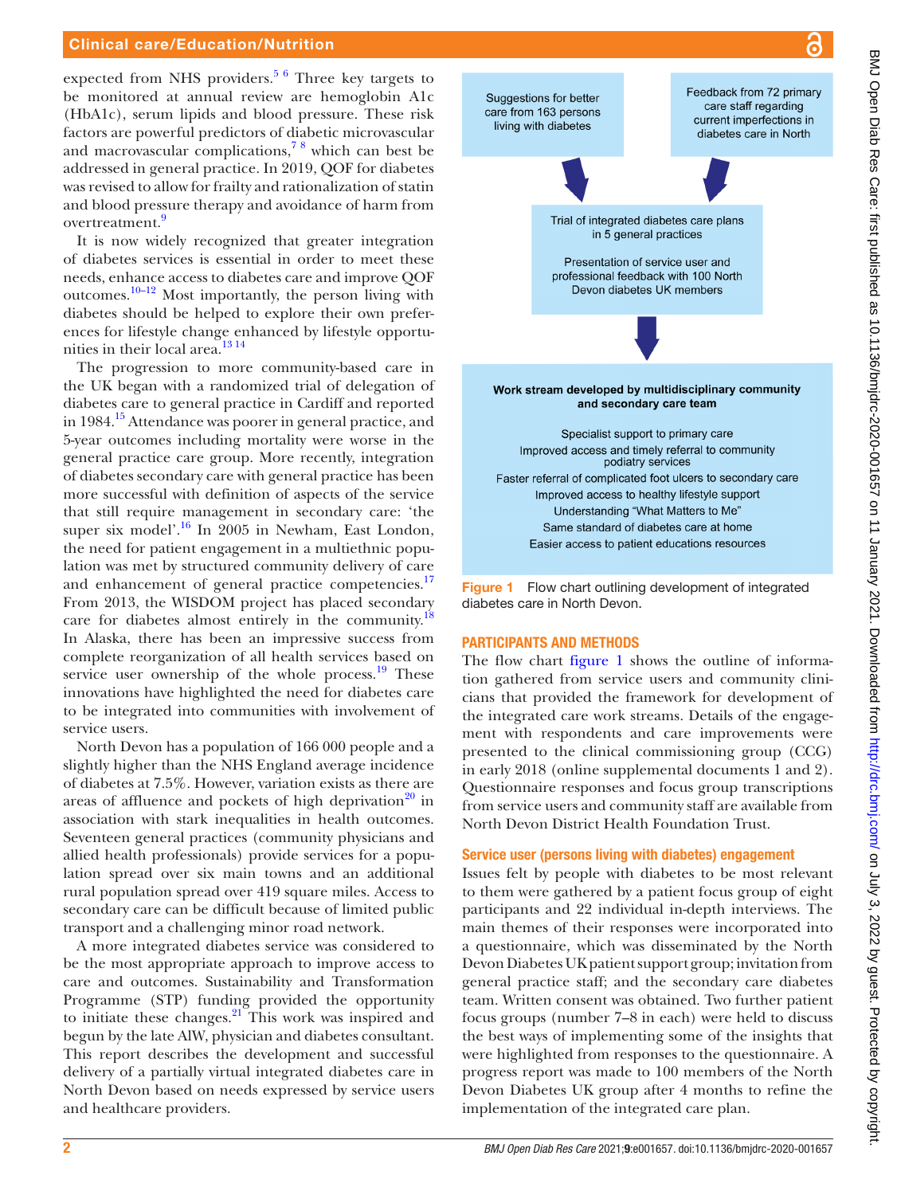#### Clinical care/Education/Nutrition

expected from NHS providers.<sup>[5 6](#page-7-2)</sup> Three key targets to be monitored at annual review are hemoglobin A1c (HbA1c), serum lipids and blood pressure. These risk factors are powerful predictors of diabetic microvascular and macrovascular complications,[7 8](#page-7-3) which can best be addressed in general practice. In 2019, QOF for diabetes was revised to allow for frailty and rationalization of statin and blood pressure therapy and avoidance of harm from overtreatment.[9](#page-7-4)

It is now widely recognized that greater integration of diabetes services is essential in order to meet these needs, enhance access to diabetes care and improve QOF outcomes.[10–12](#page-8-0) Most importantly, the person living with diabetes should be helped to explore their own preferences for lifestyle change enhanced by lifestyle opportunities in their local area.<sup>13 14</sup>

The progression to more community-based care in the UK began with a randomized trial of delegation of diabetes care to general practice in Cardiff and reported in 1984[.15](#page-8-2) Attendance was poorer in general practice, and 5-year outcomes including mortality were worse in the general practice care group. More recently, integration of diabetes secondary care with general practice has been more successful with definition of aspects of the service that still require management in secondary care: 'the super six model'.<sup>16</sup> In 2005 in Newham, East London, the need for patient engagement in a multiethnic population was met by structured community delivery of care and enhancement of general practice competencies.<sup>17</sup> From 2013, the WISDOM project has placed secondary care for diabetes almost entirely in the community.<sup>18</sup> In Alaska, there has been an impressive success from complete reorganization of all health services based on service user ownership of the whole process. $19$  These innovations have highlighted the need for diabetes care to be integrated into communities with involvement of service users.

North Devon has a population of 166 000 people and a slightly higher than the NHS England average incidence of diabetes at 7.5%. However, variation exists as there are areas of affluence and pockets of high deprivation<sup>20</sup> in association with stark inequalities in health outcomes. Seventeen general practices (community physicians and allied health professionals) provide services for a population spread over six main towns and an additional rural population spread over 419 square miles. Access to secondary care can be difficult because of limited public transport and a challenging minor road network.

A more integrated diabetes service was considered to be the most appropriate approach to improve access to care and outcomes. Sustainability and Transformation Programme (STP) funding provided the opportunity to initiate these changes. $21$  This work was inspired and begun by the late AlW, physician and diabetes consultant. This report describes the development and successful delivery of a partially virtual integrated diabetes care in North Devon based on needs expressed by service users and healthcare providers.



<span id="page-1-0"></span>Figure 1 Flow chart outlining development of integrated diabetes care in North Devon.

#### PARTICIPANTS AND METHODS

The flow chart [figure](#page-1-0) 1 shows the outline of information gathered from service users and community clinicians that provided the framework for development of the integrated care work streams. Details of the engagement with respondents and care improvements were presented to the clinical commissioning group (CCG) in early 2018 ([online supplemental documents 1 and 2](https://dx.doi.org/10.1136/bmjdrc-2020-001657)). Questionnaire responses and focus group transcriptions from service users and community staff are available from North Devon District Health Foundation Trust.

#### Service user (persons living with diabetes) engagement

Issues felt by people with diabetes to be most relevant to them were gathered by a patient focus group of eight participants and 22 individual in-depth interviews. The main themes of their responses were incorporated into a questionnaire, which was disseminated by the North Devon Diabetes UK patient support group; invitation from general practice staff; and the secondary care diabetes team. Written consent was obtained. Two further patient focus groups (number 7–8 in each) were held to discuss the best ways of implementing some of the insights that were highlighted from responses to the questionnaire. A progress report was made to 100 members of the North Devon Diabetes UK group after 4 months to refine the implementation of the integrated care plan.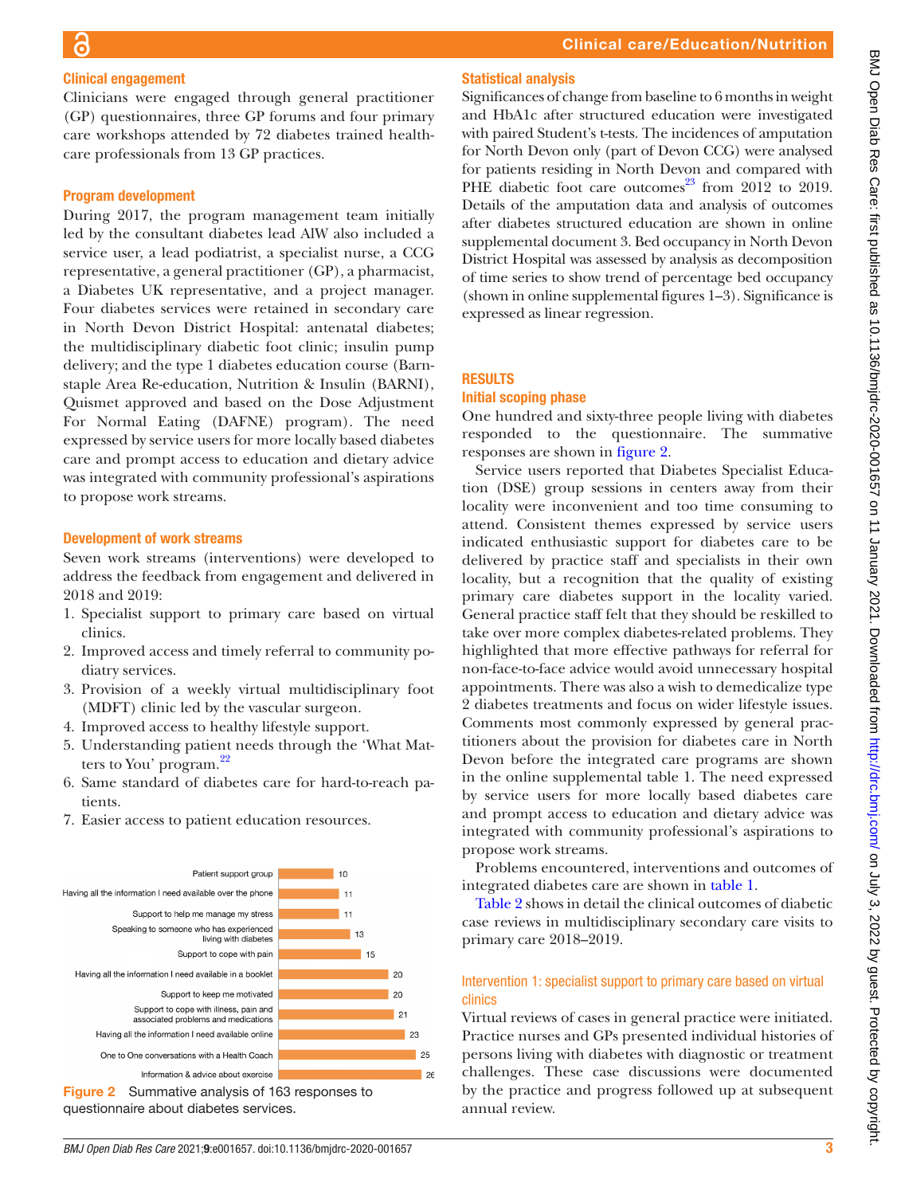#### Clinical engagement

Clinicians were engaged through general practitioner (GP) questionnaires, three GP forums and four primary care workshops attended by 72 diabetes trained healthcare professionals from 13 GP practices.

#### Program development

During 2017, the program management team initially led by the consultant diabetes lead AlW also included a service user, a lead podiatrist, a specialist nurse, a CCG representative, a general practitioner (GP), a pharmacist, a Diabetes UK representative, and a project manager. Four diabetes services were retained in secondary care in North Devon District Hospital: antenatal diabetes; the multidisciplinary diabetic foot clinic; insulin pump delivery; and the type 1 diabetes education course (Barnstaple Area Re-education, Nutrition & Insulin (BARNI), Quismet approved and based on the Dose Adjustment For Normal Eating (DAFNE) program). The need expressed by service users for more locally based diabetes care and prompt access to education and dietary advice was integrated with community professional's aspirations to propose work streams.

#### Development of work streams

Seven work streams (interventions) were developed to address the feedback from engagement and delivered in 2018 and 2019:

- 1. Specialist support to primary care based on virtual clinics.
- 2. Improved access and timely referral to community podiatry services.
- 3. Provision of a weekly virtual multidisciplinary foot (MDFT) clinic led by the vascular surgeon.
- 4. Improved access to healthy lifestyle support.
- 5. Understanding patient needs through the 'What Matters to You' program. $^{22}$
- 6. Same standard of diabetes care for hard-to-reach patients.
- 7. Easier access to patient education resources.



<span id="page-2-0"></span>Figure 2 Summative analysis of 163 responses to questionnaire about diabetes services.

### Statistical analysis

Significances of change from baseline to 6 months in weight and HbA1c after structured education were investigated with paired Student's t-tests. The incidences of amputation for North Devon only (part of Devon CCG) were analysed for patients residing in North Devon and compared with PHE diabetic foot care outcomes $^{23}$  from 2012 to 2019. Details of the amputation data and analysis of outcomes after diabetes structured education are shown in [online](https://dx.doi.org/10.1136/bmjdrc-2020-001657) [supplemental document 3](https://dx.doi.org/10.1136/bmjdrc-2020-001657). Bed occupancy in North Devon District Hospital was assessed by analysis as decomposition of time series to show trend of percentage bed occupancy (shown in [online supplemental figures 1–3\)](https://dx.doi.org/10.1136/bmjdrc-2020-001657). Significance is expressed as linear regression.

#### RESULTS

#### Initial scoping phase

One hundred and sixty-three people living with diabetes responded to the questionnaire. The summative responses are shown in [figure](#page-2-0) 2.

Service users reported that Diabetes Specialist Education (DSE) group sessions in centers away from their locality were inconvenient and too time consuming to attend. Consistent themes expressed by service users indicated enthusiastic support for diabetes care to be delivered by practice staff and specialists in their own locality, but a recognition that the quality of existing primary care diabetes support in the locality varied. General practice staff felt that they should be reskilled to take over more complex diabetes-related problems. They highlighted that more effective pathways for referral for non-face-to-face advice would avoid unnecessary hospital appointments. There was also a wish to demedicalize type 2 diabetes treatments and focus on wider lifestyle issues. Comments most commonly expressed by general practitioners about the provision for diabetes care in North Devon before the integrated care programs are shown in the [online supplemental table 1](https://dx.doi.org/10.1136/bmjdrc-2020-001657). The need expressed by service users for more locally based diabetes care and prompt access to education and dietary advice was integrated with community professional's aspirations to propose work streams.

Problems encountered, interventions and outcomes of integrated diabetes care are shown in [table](#page-3-0) 1.

[Table](#page-4-0) 2 shows in detail the clinical outcomes of diabetic case reviews in multidisciplinary secondary care visits to primary care 2018–2019.

#### Intervention 1: specialist support to primary care based on virtual clinics

Virtual reviews of cases in general practice were initiated. Practice nurses and GPs presented individual histories of persons living with diabetes with diagnostic or treatment challenges. These case discussions were documented by the practice and progress followed up at subsequent annual review.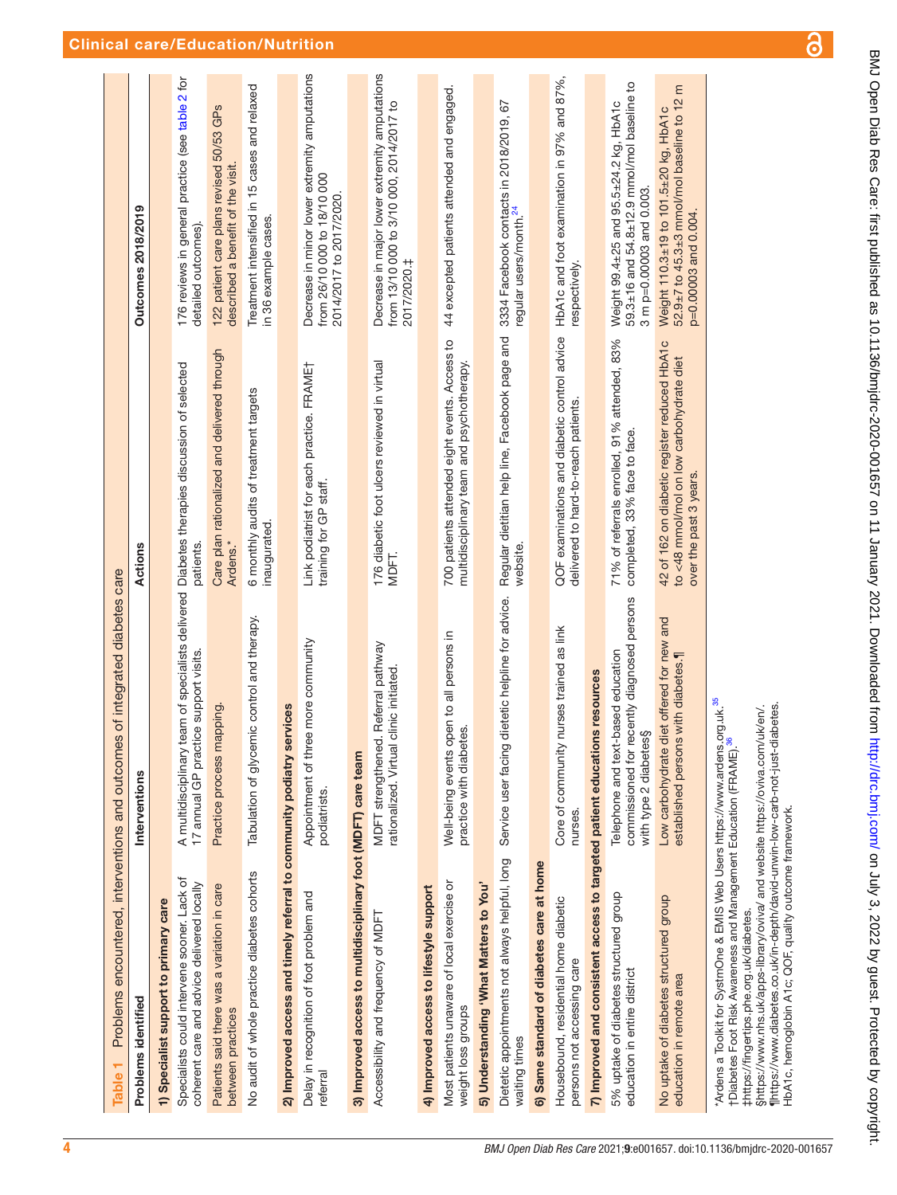<span id="page-3-0"></span>

| Table <sub>1</sub>                                                                                                                                                                                                                                                                                                                                                                                   | Problems encountered, interventions and outcomes of integrated diabetes care                                                         |                                                                                                                    |                                                                                                                  |
|------------------------------------------------------------------------------------------------------------------------------------------------------------------------------------------------------------------------------------------------------------------------------------------------------------------------------------------------------------------------------------------------------|--------------------------------------------------------------------------------------------------------------------------------------|--------------------------------------------------------------------------------------------------------------------|------------------------------------------------------------------------------------------------------------------|
| Problems identified                                                                                                                                                                                                                                                                                                                                                                                  | Interventions                                                                                                                        | Actions                                                                                                            | Outcomes 2018/2019                                                                                               |
| 1) Specialist support to primary care                                                                                                                                                                                                                                                                                                                                                                |                                                                                                                                      |                                                                                                                    |                                                                                                                  |
| Specialists could intervene sooner. Lack of<br>coherent care and advice delivered locally                                                                                                                                                                                                                                                                                                            | A multidisciplinary team of specialists delivered Diabetes therapies discussion of selected<br>17 annual GP practice support visits. | patients.                                                                                                          | 176 reviews in general practice (see table 2 for<br>detailed outcomes).                                          |
| Patients said there was a variation in care<br>between practices                                                                                                                                                                                                                                                                                                                                     | Practice process mapping                                                                                                             | Care plan rationalized and delivered through<br>Ardens.*                                                           | 122 patient care plans revised 50/53 GPs<br>described a benefit of the visit.                                    |
| No audit of whole practice diabetes cohorts                                                                                                                                                                                                                                                                                                                                                          | Tabulation of glycemic control and therapy.                                                                                          | 6 monthly audits of treatment targets<br>inaugurated.                                                              | Treatment intensified in 15 cases and relaxed<br>in 36 example cases.                                            |
| 2) Improved access and timely referral to community podiatry services                                                                                                                                                                                                                                                                                                                                |                                                                                                                                      |                                                                                                                    |                                                                                                                  |
| Delay in recognition of foot problem and<br>referral                                                                                                                                                                                                                                                                                                                                                 | ee more community<br>Appointment of the<br>podiatrists.                                                                              | Link podiatrist for each practice. FRAMET<br>training for GP staff.                                                | Decrease in minor lower extremity amputations<br>from 26/10 000 to 18/10 000<br>2014/2017 to 2017/2020           |
| 3) Improved access to multidisciplinary foot (MDFT) care team                                                                                                                                                                                                                                                                                                                                        |                                                                                                                                      |                                                                                                                    |                                                                                                                  |
| Accessibility and frequency of MDFT                                                                                                                                                                                                                                                                                                                                                                  | MDFT strengthened. Referral pathway<br>rationalized. Virtual clinic initiated                                                        | 176 diabetic foot ulcers reviewed in virtual<br>MDFT.                                                              | Decrease in major lower extremity amputations<br>from 13/10 000 to 3/10 000, 2014/2017 to<br>2017/2020.‡         |
| 4) Improved access to lifestyle support                                                                                                                                                                                                                                                                                                                                                              |                                                                                                                                      |                                                                                                                    |                                                                                                                  |
| Most patients unaware of local exercise or<br>weight loss groups                                                                                                                                                                                                                                                                                                                                     | open to all persons in<br>practice with diabetes.<br>Well-being events                                                               | 700 patients attended eight events. Access to<br>multidisciplinary team and psychotherapy.                         | 44 excepted patients attended and engaged.                                                                       |
| 5) Understanding 'What Matters to You'                                                                                                                                                                                                                                                                                                                                                               |                                                                                                                                      |                                                                                                                    |                                                                                                                  |
| Dietetic appointments not always helpful, long<br>waiting times                                                                                                                                                                                                                                                                                                                                      | Service user facing dietetic helpline for advice.                                                                                    | Regular dietitian help line, Facebook page and<br>website.                                                         | 3334 Facebook contacts in 2018/2019, 67<br>regular users/month. <sup>24</sup>                                    |
| 6) Same standard of diabetes care at home                                                                                                                                                                                                                                                                                                                                                            |                                                                                                                                      |                                                                                                                    |                                                                                                                  |
| Housebound, residential home diabetic<br>persons not accessing care                                                                                                                                                                                                                                                                                                                                  | Core of community nurses trained as link<br>nurses.                                                                                  | QOF examinations and diabetic control advice<br>delivered to hard-to-reach patients.                               | HbA1c and foot examination in 97% and 87%,<br>respectively.                                                      |
| 7) Improved and consistent access to targeted patient educations resources                                                                                                                                                                                                                                                                                                                           |                                                                                                                                      |                                                                                                                    |                                                                                                                  |
| 5% uptake of diabetes structured group<br>education in entire district                                                                                                                                                                                                                                                                                                                               | commissioned for recently diagnosed persons<br>Telephone and text-based education<br>with type 2 diabetes§                           | 71% of referrals enrolled, 91% attended, 83%<br>completed, 33% face to face.                                       | 59.3±16 and 54.8±12.9 mmol/mol baseline to<br>Weight 99.4±25 and 95.5±24.2 kg, HbA1c<br>3 m p=0.00003 and 0.003. |
| No uptake of diabetes structured group<br>education in remote area                                                                                                                                                                                                                                                                                                                                   | Low carbohydrate diet offered for new and<br>established persons with diabetes.                                                      | 42 of 162 on diabetic register reduced HbA1c<br>to <48 mmol/mol on low carbohydrate diet<br>over the past 3 years. | 52.9±7 to 45.3±3 mmol/mol baseline to 12 m<br>Weight 110.3±19 to 101.5±20 kg, HbA1c<br>p=0.00003 and 0.004.      |
| Shttps://www.nhs.uk/apps-library/oviva/ and website https://oviva.com/uk/en/.<br>"Ardens a Toolkit for SystmOne & EMIS Web Users https://www.ardens<br>†Diabetes Foot Risk Awareness and Management Education (FRAME).<br>finttps://www.diabetes.co.uk/in-depth/david-unwin-low-carb-not-just-<br>HbA1c, hemoglobin A1c; QOF, quality outcome framework.<br>#https://fingertips.phe.org.uk/diabetes. | s.org.uk. <sup>35</sup><br>diabetes.                                                                                                 |                                                                                                                    |                                                                                                                  |

<u>යි</u>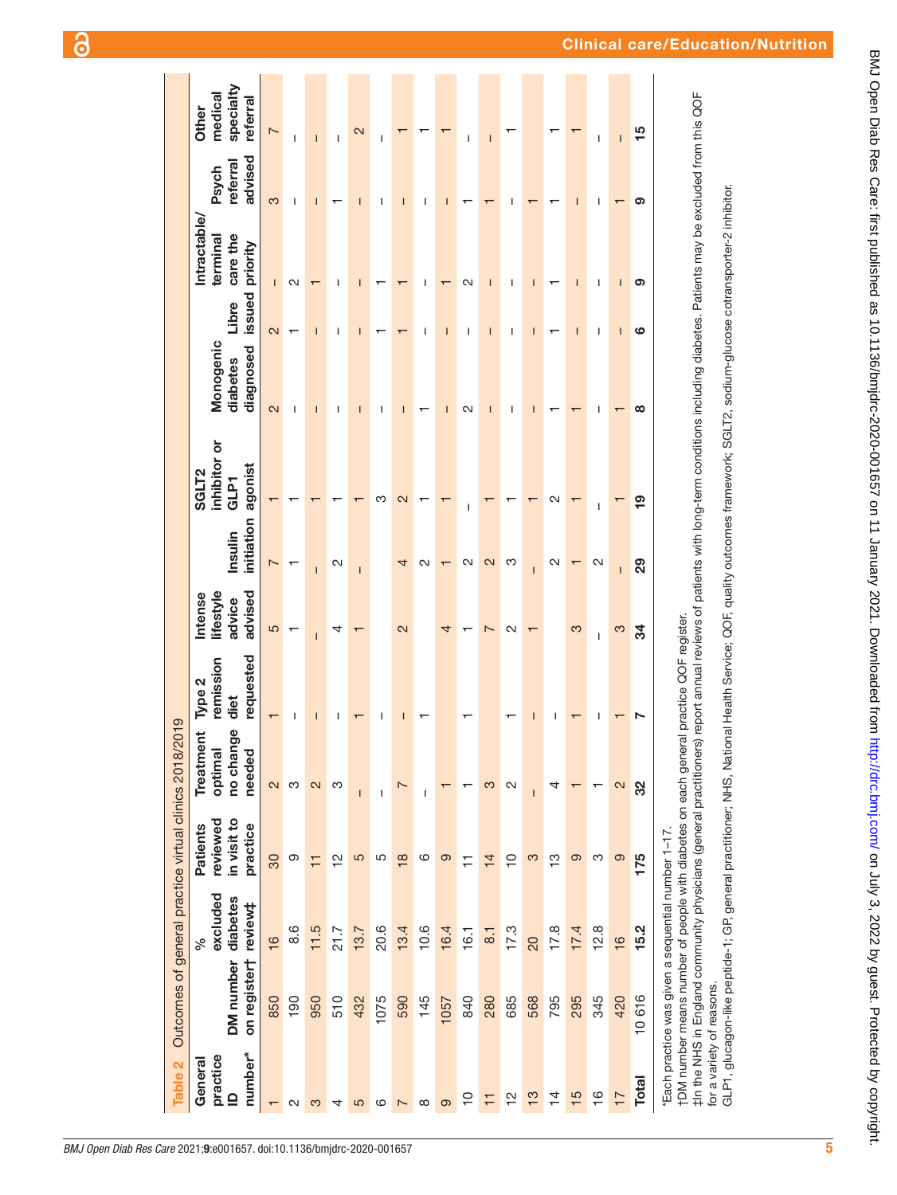<span id="page-4-0"></span>

| Table 2                                        | Outcomes of general practice virtual clinics 2018/2019                                                                                                                   |                                        |                                                 |                                                   |                                         |                                          |                       |                                                                                                                                                                                                                                                                                                                                                                        |                                    |                          |                                                        |                              |                                           |
|------------------------------------------------|--------------------------------------------------------------------------------------------------------------------------------------------------------------------------|----------------------------------------|-------------------------------------------------|---------------------------------------------------|-----------------------------------------|------------------------------------------|-----------------------|------------------------------------------------------------------------------------------------------------------------------------------------------------------------------------------------------------------------------------------------------------------------------------------------------------------------------------------------------------------------|------------------------------------|--------------------------|--------------------------------------------------------|------------------------------|-------------------------------------------|
| number*<br>practice<br>General<br>$\mathbf{r}$ | on registert<br><b>DM</b> number                                                                                                                                         | excluded<br>diabetes<br>review‡<br>್ಧೆ | in visit to<br>reviewed<br>practice<br>Patients | Ф<br>Ĕ<br>Treatme<br>no chan<br>optimal<br>needed | requested<br>emission<br>Type 2<br>diet | lifestyle<br>advised<br>ntense<br>advice | initiation<br>Insulin | inhibitor or<br>agonist<br>SGLT <sub>2</sub><br>GLP1                                                                                                                                                                                                                                                                                                                   | Monogenic<br>diagnosed<br>diabetes | issued<br>Libre          | <b>Intractable</b><br>care the<br>terminal<br>priority | advised<br>referral<br>Psych | specialty<br>medical<br>referral<br>Other |
|                                                | 850                                                                                                                                                                      | $\frac{6}{5}$                          | 30                                              | 2                                                 |                                         | 5                                        |                       |                                                                                                                                                                                                                                                                                                                                                                        | $\overline{\mathcal{C}}$           | $\overline{\mathcal{C}}$ | $\mathsf{I}$                                           | က                            | $\overline{ }$                            |
| $\sim$                                         | 190                                                                                                                                                                      | 8.6                                    | တ                                               | ო                                                 |                                         |                                          |                       |                                                                                                                                                                                                                                                                                                                                                                        | ı                                  |                          | ∾                                                      | ı                            | ı                                         |
| S                                              | 950                                                                                                                                                                      | 11.5                                   | $\overline{1}$                                  | 2                                                 |                                         |                                          |                       |                                                                                                                                                                                                                                                                                                                                                                        |                                    |                          |                                                        |                              |                                           |
| 4                                              | 510                                                                                                                                                                      | 21.7                                   | $\frac{1}{2}$                                   | ო                                                 |                                         | 4                                        | Ν                     |                                                                                                                                                                                                                                                                                                                                                                        |                                    |                          |                                                        |                              |                                           |
| 5                                              | 432                                                                                                                                                                      | 13.7                                   | 5                                               | $\overline{\phantom{a}}$                          |                                         |                                          | I                     |                                                                                                                                                                                                                                                                                                                                                                        |                                    |                          |                                                        |                              | 2                                         |
| ဖ                                              | 1075                                                                                                                                                                     | 20.6                                   | 5                                               | I                                                 | ı                                       |                                          |                       | ო                                                                                                                                                                                                                                                                                                                                                                      | ı                                  |                          |                                                        | ı                            | I                                         |
| $\overline{\phantom{0}}$                       | 590                                                                                                                                                                      | 13.4                                   | $\frac{8}{18}$                                  | $\overline{ }$                                    | I                                       | $\overline{\mathsf{c}}$                  | 4                     | 2                                                                                                                                                                                                                                                                                                                                                                      | Ī                                  |                          |                                                        | Ī                            |                                           |
| $^{\circ}$                                     | 145                                                                                                                                                                      | 10.6                                   | ဖ                                               | I                                                 |                                         |                                          | N                     |                                                                                                                                                                                                                                                                                                                                                                        |                                    | I                        | ı                                                      | I                            |                                           |
| ၜ                                              | 1057                                                                                                                                                                     | 16.4                                   | ၜ                                               |                                                   |                                         | 4                                        |                       |                                                                                                                                                                                                                                                                                                                                                                        | Ī                                  | $\mathsf{I}$             |                                                        | I                            |                                           |
| $\overline{0}$                                 | 840                                                                                                                                                                      | 16.1                                   | Ξ                                               |                                                   |                                         |                                          | N                     | ı                                                                                                                                                                                                                                                                                                                                                                      | N                                  | I                        | N                                                      |                              | I                                         |
| Ξ                                              | 280                                                                                                                                                                      | $\overline{8}$ .                       | $\frac{1}{4}$                                   | က                                                 |                                         | Ľ                                        | $\mathbf{\Omega}$     |                                                                                                                                                                                                                                                                                                                                                                        |                                    | ī                        |                                                        |                              | ı                                         |
| 으                                              | 685                                                                                                                                                                      | 17.3                                   | $\overline{C}$                                  | $\sim$                                            |                                         | $\sim$                                   | ო                     |                                                                                                                                                                                                                                                                                                                                                                        |                                    | ı                        |                                                        |                              |                                           |
| $\frac{3}{5}$                                  | 568                                                                                                                                                                      | 20                                     | 3                                               | I                                                 |                                         |                                          |                       |                                                                                                                                                                                                                                                                                                                                                                        |                                    |                          |                                                        |                              |                                           |
| $\overline{4}$                                 | 795                                                                                                                                                                      | 17.8                                   | <u>က</u>                                        | 4                                                 |                                         |                                          | N                     | N                                                                                                                                                                                                                                                                                                                                                                      |                                    |                          |                                                        |                              |                                           |
| $\frac{5}{5}$                                  | 295                                                                                                                                                                      | 17.4                                   | တ                                               | ┯                                                 |                                         | က                                        |                       |                                                                                                                                                                                                                                                                                                                                                                        |                                    | Ī                        | ı                                                      | ı                            |                                           |
| $\frac{6}{1}$                                  | 345                                                                                                                                                                      | 12.8                                   | ო                                               |                                                   | ı                                       | I                                        | $\sim$                | I                                                                                                                                                                                                                                                                                                                                                                      | I                                  | I                        | I                                                      | I                            | I                                         |
| $\overline{1}$                                 | 420                                                                                                                                                                      | 16                                     | တ                                               | 2                                                 |                                         | S                                        | Ī                     |                                                                                                                                                                                                                                                                                                                                                                        |                                    | T                        | I                                                      |                              | $\overline{1}$                            |
| <b>Total</b>                                   | 10616                                                                                                                                                                    | 15.2                                   | 175                                             | 32                                                |                                         | ಸ                                        | 29                    | <u>စု</u>                                                                                                                                                                                                                                                                                                                                                              | ထ                                  | ဖ                        | စ                                                      | ග                            | 15                                        |
|                                                | †DM number means number of people with diabetes on each general practice QOF register.<br>*Each practice was given a sequential number 1-17<br>for a variety of reasons. |                                        |                                                 |                                                   |                                         |                                          |                       | ‡In the NHS in England community physicians (general practitioneral peport annual reviews of patients with long-term conditions including diabetes. Patients may be excluded from this QOF<br>GLP1, glucagon-like peptide-1; GP, general practitioner; NHS, National Health Service; QOF, quality outcomes framework; SGLT2, sodium-glucose cotransporter-2 inhibitor. |                                    |                          |                                                        |                              |                                           |

BMJ Open Diab Res Care: first published as 10.1136/bmjdrc-2020-001657 on 11 January 2021. Downloaded from http://drc.bmj.com/ on July 3, 2022 by guest. Protected by copyright. BMJ Open Diab Res Care: first published as 10.1136/bmjdrc-2020-001657 on 11 January 2021. Downloaded from <http://drc.bmj.com/> on July 3, 2022 by guest. Protected by copyright.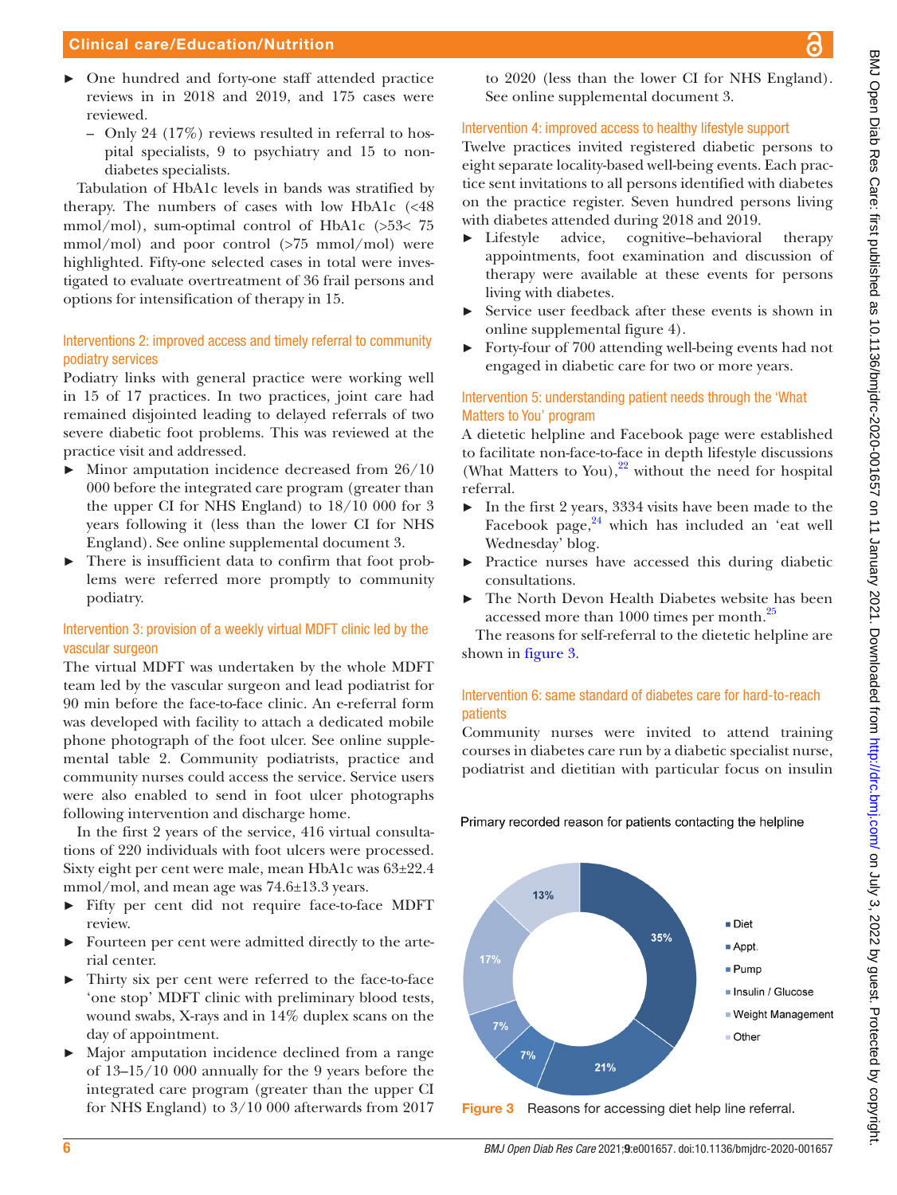#### Clinical care/Education/Nutrition

- ► One hundred and forty-one staff attended practice reviews in in 2018 and 2019, and 175 cases were reviewed.
	- Only 24 (17%) reviews resulted in referral to hospital specialists, 9 to psychiatry and 15 to nondiabetes specialists.

Tabulation of HbA1c levels in bands was stratified by therapy. The numbers of cases with low HbA1c  $\ll 48$ mmol/mol), sum-optimal control of HbA1c (>53< 75 mmol/mol) and poor control (>75 mmol/mol) were highlighted. Fifty-one selected cases in total were investigated to evaluate overtreatment of 36 frail persons and options for intensification of therapy in 15.

#### Interventions 2: improved access and timely referral to community podiatry services

Podiatry links with general practice were working well in 15 of 17 practices. In two practices, joint care had remained disjointed leading to delayed referrals of two severe diabetic foot problems. This was reviewed at the practice visit and addressed.

- $\blacktriangleright$  Minor amputation incidence decreased from 26/10 000 before the integrated care program (greater than the upper CI for NHS England) to 18/10 000 for 3 years following it (less than the lower CI for NHS England). See [online supplemental document 3.](https://dx.doi.org/10.1136/bmjdrc-2020-001657)
- There is insufficient data to confirm that foot problems were referred more promptly to community podiatry.

#### Intervention 3: provision of a weekly virtual MDFT clinic led by the vascular surgeon

The virtual MDFT was undertaken by the whole MDFT team led by the vascular surgeon and lead podiatrist for 90 min before the face-to-face clinic. An e-referral form was developed with facility to attach a dedicated mobile phone photograph of the foot ulcer. See [online supple](https://dx.doi.org/10.1136/bmjdrc-2020-001657)[mental table 2](https://dx.doi.org/10.1136/bmjdrc-2020-001657). Community podiatrists, practice and community nurses could access the service. Service users were also enabled to send in foot ulcer photographs following intervention and discharge home.

In the first 2 years of the service, 416 virtual consultations of 220 individuals with foot ulcers were processed. Sixty eight per cent were male, mean HbA1c was 63±22.4 mmol/mol, and mean age was 74.6±13.3 years.

- ► Fifty per cent did not require face-to-face MDFT review.
- ► Fourteen per cent were admitted directly to the arterial center.
- Thirty six per cent were referred to the face-to-face 'one stop' MDFT clinic with preliminary blood tests, wound swabs, X-rays and in 14% duplex scans on the day of appointment.
- ► Major amputation incidence declined from a range of 13–15/10 000 annually for the 9 years before the integrated care program (greater than the upper CI for NHS England) to 3/10 000 afterwards from 2017

to 2020 (less than the lower CI for NHS England). See [online supplemental document 3](https://dx.doi.org/10.1136/bmjdrc-2020-001657).

### Intervention 4: improved access to healthy lifestyle support

Twelve practices invited registered diabetic persons to eight separate locality-based well-being events. Each practice sent invitations to all persons identified with diabetes on the practice register. Seven hundred persons living with diabetes attended during 2018 and 2019.

- ► Lifestyle advice, cognitive–behavioral therapy appointments, foot examination and discussion of therapy were available at these events for persons living with diabetes.
- ► Service user feedback after these events is shown in [online supplemental figure 4\)](https://dx.doi.org/10.1136/bmjdrc-2020-001657).
- ► Forty-four of 700 attending well-being events had not engaged in diabetic care for two or more years.

### Intervention 5: understanding patient needs through the 'What Matters to You' program

A dietetic helpline and Facebook page were established to facilitate non-face-to-face in depth lifestyle discussions (What Matters to You), $^{22}$  without the need for hospital referral.

- ► In the first 2 years, 3334 visits have been made to the Facebook page, $24$  which has included an 'eat well Wednesday' blog.
- ► Practice nurses have accessed this during diabetic consultations.
- The North Devon Health Diabetes website has been accessed more than 1000 times per month.<sup>[25](#page-8-14)</sup>

The reasons for self-referral to the dietetic helpline are shown in [figure](#page-5-0) 3.

### Intervention 6: same standard of diabetes care for hard-to-reach patients

Community nurses were invited to attend training courses in diabetes care run by a diabetic specialist nurse, podiatrist and dietitian with particular focus on insulin

Primary recorded reason for patients contacting the helpline



<span id="page-5-0"></span>Figure 3 Reasons for accessing diet help line referral.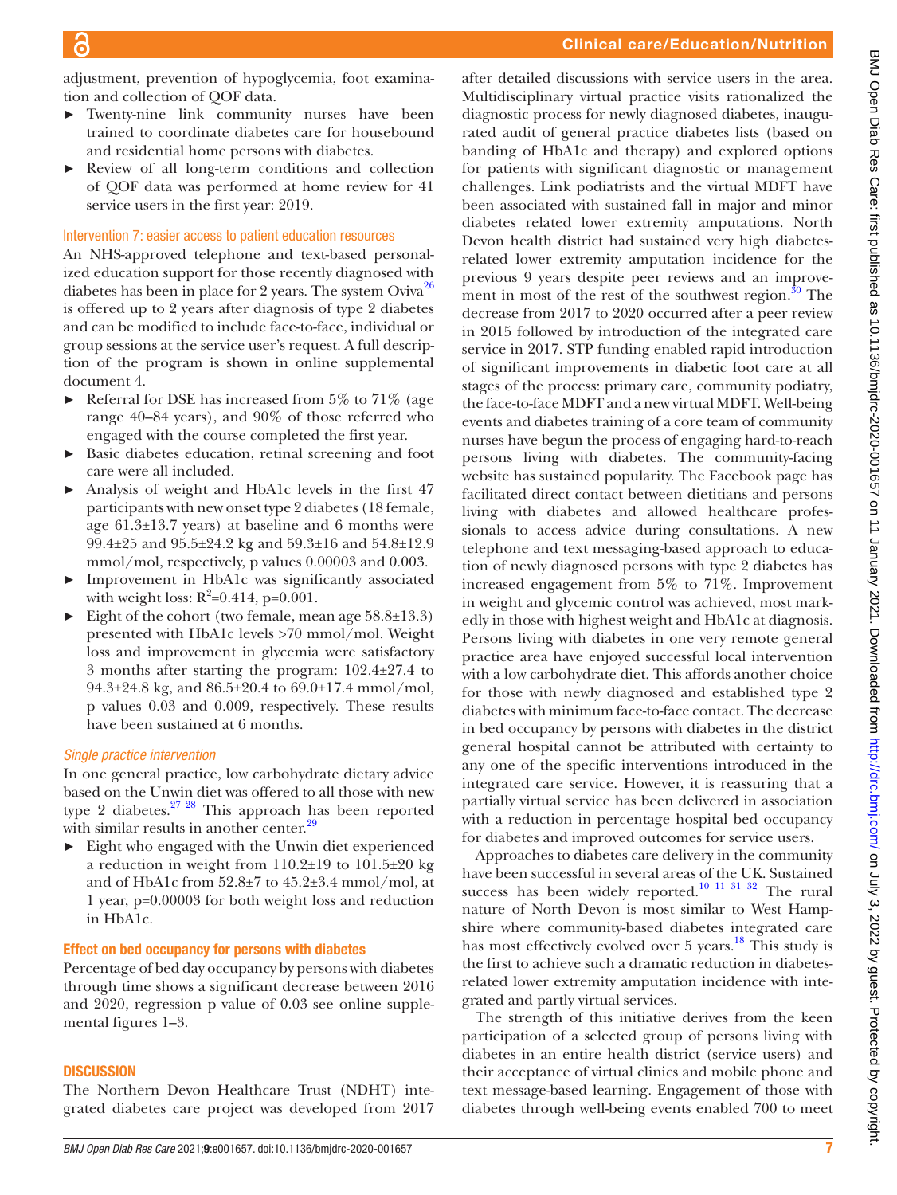after detailed discussions with service users in the area.

adjustment, prevention of hypoglycemia, foot examination and collection of QOF data.

- ► Twenty-nine link community nurses have been trained to coordinate diabetes care for housebound and residential home persons with diabetes.
- ► Review of all long-term conditions and collection of QOF data was performed at home review for 41 service users in the first year: 2019.

#### Intervention 7: easier access to patient education resources

An NHS-approved telephone and text-based personalized education support for those recently diagnosed with diabetes has been in place for 2 years. The system Oviva<sup>26</sup> is offered up to 2 years after diagnosis of type 2 diabetes and can be modified to include face-to-face, individual or group sessions at the service user's request. A full description of the program is shown in [online supplemental](https://dx.doi.org/10.1136/bmjdrc-2020-001657) [document 4](https://dx.doi.org/10.1136/bmjdrc-2020-001657).

- $\blacktriangleright$  Referral for DSE has increased from 5% to 71% (age range 40–84 years), and 90% of those referred who engaged with the course completed the first year.
- ► Basic diabetes education, retinal screening and foot care were all included.
- Analysis of weight and HbA1c levels in the first 47 participants with new onset type 2 diabetes (18 female, age 61.3±13.7 years) at baseline and 6 months were 99.4±25 and 95.5±24.2 kg and 59.3±16 and 54.8±12.9 mmol/mol, respectively, p values 0.00003 and 0.003.
- Improvement in HbA1c was significantly associated with weight loss:  $R^2 = 0.414$ , p= $0.001$ .
- ► Eight of the cohort (two female, mean age 58.8±13.3) presented with HbA1c levels >70 mmol/mol. Weight loss and improvement in glycemia were satisfactory 3 months after starting the program: 102.4±27.4 to  $94.3\pm24.8$  kg, and  $86.5\pm20.4$  to  $69.0\pm17.4$  mmol/mol, p values 0.03 and 0.009, respectively. These results have been sustained at 6 months.

#### *Single practice intervention*

In one general practice, low carbohydrate dietary advice based on the Unwin diet was offered to all those with new type 2 diabetes. $27 \frac{28}{10}$  This approach has been reported with similar results in another center.<sup>[29](#page-8-17)</sup>

 $\blacktriangleright$  Eight who engaged with the Unwin diet experienced a reduction in weight from 110.2±19 to 101.5±20 kg and of HbA1c from  $52.8\pm7$  to  $45.2\pm3.4$  mmol/mol, at 1 year, p=0.00003 for both weight loss and reduction in HbA1c.

#### Effect on bed occupancy for persons with diabetes

Percentage of bed day occupancy by persons with diabetes through time shows a significant decrease between 2016 and 2020, regression p value of 0.03 see [online supple](https://dx.doi.org/10.1136/bmjdrc-2020-001657)[mental figures 1–3.](https://dx.doi.org/10.1136/bmjdrc-2020-001657)

#### **DISCUSSION**

The Northern Devon Healthcare Trust (NDHT) integrated diabetes care project was developed from 2017

Multidisciplinary virtual practice visits rationalized the diagnostic process for newly diagnosed diabetes, inaugurated audit of general practice diabetes lists (based on banding of HbA1c and therapy) and explored options for patients with significant diagnostic or management challenges. Link podiatrists and the virtual MDFT have been associated with sustained fall in major and minor diabetes related lower extremity amputations. North Devon health district had sustained very high diabetesrelated lower extremity amputation incidence for the previous 9 years despite peer reviews and an improvement in most of the rest of the southwest region. $30$  The decrease from 2017 to 2020 occurred after a peer review in 2015 followed by introduction of the integrated care service in 2017. STP funding enabled rapid introduction of significant improvements in diabetic foot care at all stages of the process: primary care, community podiatry, the face-to-face MDFT and a new virtual MDFT. Well-being events and diabetes training of a core team of community nurses have begun the process of engaging hard-to-reach persons living with diabetes. The community-facing website has sustained popularity. The Facebook page has facilitated direct contact between dietitians and persons living with diabetes and allowed healthcare professionals to access advice during consultations. A new telephone and text messaging-based approach to education of newly diagnosed persons with type 2 diabetes has increased engagement from 5% to 71%. Improvement in weight and glycemic control was achieved, most markedly in those with highest weight and HbA1c at diagnosis. Persons living with diabetes in one very remote general practice area have enjoyed successful local intervention with a low carbohydrate diet. This affords another choice for those with newly diagnosed and established type 2 diabetes with minimum face-to-face contact. The decrease in bed occupancy by persons with diabetes in the district general hospital cannot be attributed with certainty to any one of the specific interventions introduced in the integrated care service. However, it is reassuring that a partially virtual service has been delivered in association with a reduction in percentage hospital bed occupancy for diabetes and improved outcomes for service users.

Approaches to diabetes care delivery in the community have been successful in several areas of the UK. Sustained success has been widely reported.<sup>[10 11 31 32](#page-8-0)</sup> The rural nature of North Devon is most similar to West Hampshire where community-based diabetes integrated care has most effectively evolved over 5 years.<sup>18</sup> This study is the first to achieve such a dramatic reduction in diabetesrelated lower extremity amputation incidence with integrated and partly virtual services.

The strength of this initiative derives from the keen participation of a selected group of persons living with diabetes in an entire health district (service users) and their acceptance of virtual clinics and mobile phone and text message-based learning. Engagement of those with diabetes through well-being events enabled 700 to meet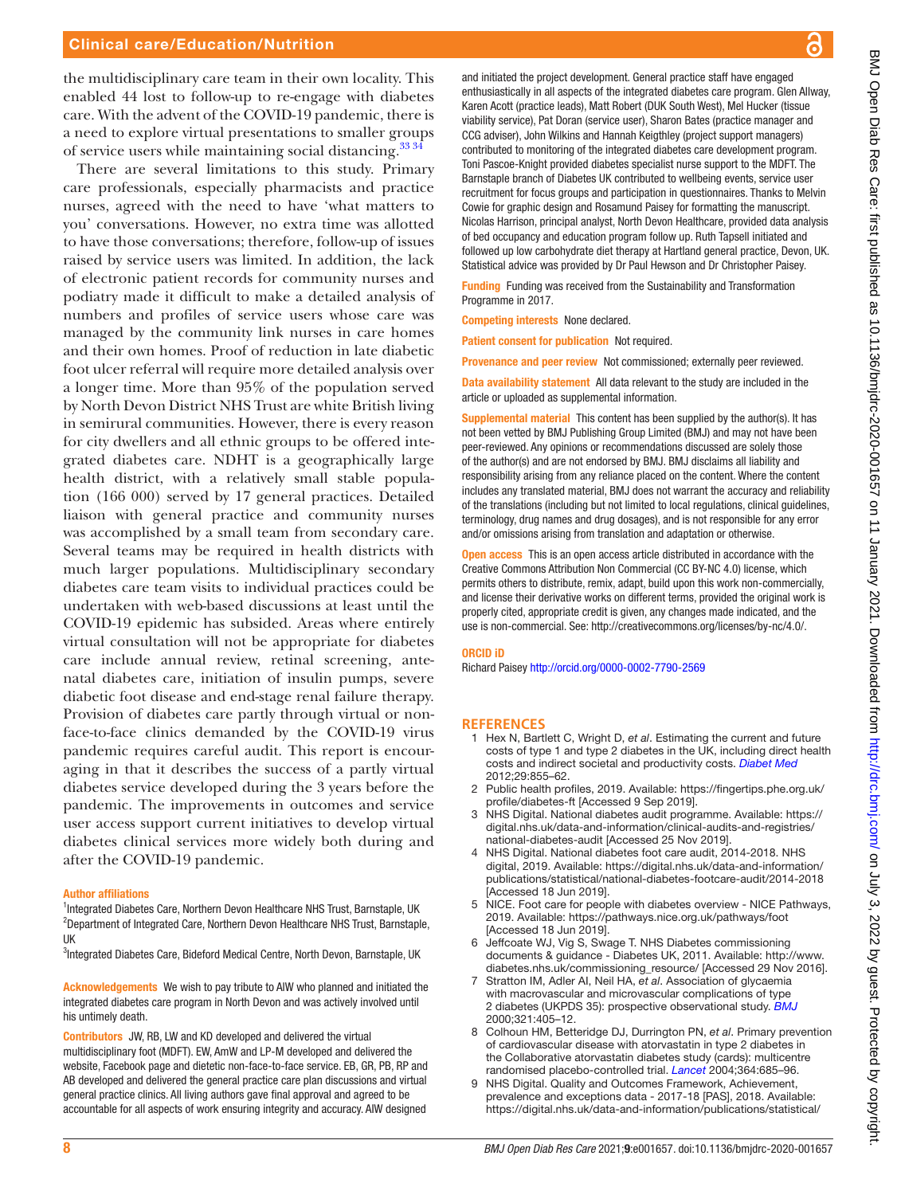#### Clinical care/Education/Nutrition

the multidisciplinary care team in their own locality. This enabled 44 lost to follow-up to re-engage with diabetes care. With the advent of the COVID-19 pandemic, there is a need to explore virtual presentations to smaller groups of service users while maintaining social distancing.<sup>33</sup> 34

There are several limitations to this study. Primary care professionals, especially pharmacists and practice nurses, agreed with the need to have 'what matters to you' conversations. However, no extra time was allotted to have those conversations; therefore, follow-up of issues raised by service users was limited. In addition, the lack of electronic patient records for community nurses and podiatry made it difficult to make a detailed analysis of numbers and profiles of service users whose care was managed by the community link nurses in care homes and their own homes. Proof of reduction in late diabetic foot ulcer referral will require more detailed analysis over a longer time. More than 95% of the population served by North Devon District NHS Trust are white British living in semirural communities. However, there is every reason for city dwellers and all ethnic groups to be offered integrated diabetes care. NDHT is a geographically large health district, with a relatively small stable population (166 000) served by 17 general practices. Detailed liaison with general practice and community nurses was accomplished by a small team from secondary care. Several teams may be required in health districts with much larger populations. Multidisciplinary secondary diabetes care team visits to individual practices could be undertaken with web-based discussions at least until the COVID-19 epidemic has subsided. Areas where entirely virtual consultation will not be appropriate for diabetes care include annual review, retinal screening, antenatal diabetes care, initiation of insulin pumps, severe diabetic foot disease and end-stage renal failure therapy. Provision of diabetes care partly through virtual or nonface-to-face clinics demanded by the COVID-19 virus pandemic requires careful audit. This report is encouraging in that it describes the success of a partly virtual diabetes service developed during the 3 years before the pandemic. The improvements in outcomes and service user access support current initiatives to develop virtual diabetes clinical services more widely both during and after the COVID-19 pandemic.

#### Author affiliations

<sup>1</sup>Integrated Diabetes Care, Northern Devon Healthcare NHS Trust, Barnstaple, UK <sup>2</sup>Department of Integrated Care, Northern Devon Healthcare NHS Trust, Barnstaple, UK

<sup>3</sup>Integrated Diabetes Care, Bideford Medical Centre, North Devon, Barnstaple, UK

Acknowledgements We wish to pay tribute to AlW who planned and initiated the integrated diabetes care program in North Devon and was actively involved until his untimely death.

Contributors JW, RB, LW and KD developed and delivered the virtual multidisciplinary foot (MDFT). EW, AmW and LP-M developed and delivered the website, Facebook page and dietetic non-face-to-face service. EB, GR, PB, RP and AB developed and delivered the general practice care plan discussions and virtual general practice clinics. All living authors gave final approval and agreed to be accountable for all aspects of work ensuring integrity and accuracy. AIW designed

and initiated the project development. General practice staff have engaged enthusiastically in all aspects of the integrated diabetes care program. Glen Allway, Karen Acott (practice leads), Matt Robert (DUK South West), Mel Hucker (tissue viability service), Pat Doran (service user), Sharon Bates (practice manager and CCG adviser), John Wilkins and Hannah Keigthley (project support managers) contributed to monitoring of the integrated diabetes care development program. Toni Pascoe-Knight provided diabetes specialist nurse support to the MDFT. The Barnstaple branch of Diabetes UK contributed to wellbeing events, service user recruitment for focus groups and participation in questionnaires. Thanks to Melvin Cowie for graphic design and Rosamund Paisey for formatting the manuscript. Nicolas Harrison, principal analyst, North Devon Healthcare, provided data analysis of bed occupancy and education program follow up. Ruth Tapsell initiated and followed up low carbohydrate diet therapy at Hartland general practice, Devon, UK. Statistical advice was provided by Dr Paul Hewson and Dr Christopher Paisey.

Funding Funding was received from the Sustainability and Transformation Programme in 2017.

Competing interests None declared.

Patient consent for publication Not required.

Provenance and peer review Not commissioned; externally peer reviewed.

Data availability statement All data relevant to the study are included in the article or uploaded as supplemental information.

**Supplemental material** This content has been supplied by the author(s). It has not been vetted by BMJ Publishing Group Limited (BMJ) and may not have been peer-reviewed. Any opinions or recommendations discussed are solely those of the author(s) and are not endorsed by BMJ. BMJ disclaims all liability and responsibility arising from any reliance placed on the content. Where the content includes any translated material, BMJ does not warrant the accuracy and reliability of the translations (including but not limited to local regulations, clinical guidelines, terminology, drug names and drug dosages), and is not responsible for any error and/or omissions arising from translation and adaptation or otherwise.

**Open access** This is an open access article distributed in accordance with the Creative Commons Attribution Non Commercial (CC BY-NC 4.0) license, which permits others to distribute, remix, adapt, build upon this work non-commercially, and license their derivative works on different terms, provided the original work is properly cited, appropriate credit is given, any changes made indicated, and the use is non-commercial. See: <http://creativecommons.org/licenses/by-nc/4.0/>.

#### ORCID iD

Richard Paisey<http://orcid.org/0000-0002-7790-2569>

#### **REFERENCES**

- <span id="page-7-0"></span>1 Hex N, Bartlett C, Wright D, *et al*. Estimating the current and future costs of type 1 and type 2 diabetes in the UK, including direct health costs and indirect societal and productivity costs. *[Diabet Med](http://dx.doi.org/10.1111/j.1464-5491.2012.03698.x)* 2012;29:855–62.
- <span id="page-7-1"></span>2 Public health profiles, 2019. Available: [https://fingertips.phe.org.uk/](https://fingertips.phe.org.uk/profile/diabetes-ft) [profile/diabetes-ft](https://fingertips.phe.org.uk/profile/diabetes-ft) [Accessed 9 Sep 2019].
- 3 NHS Digital. National diabetes audit programme. Available: [https://](https://digital.nhs.uk/data-and-information/clinical-audits-and-registries/national-diabetes-audit) [digital.nhs.uk/data-and-information/clinical-audits-and-registries/](https://digital.nhs.uk/data-and-information/clinical-audits-and-registries/national-diabetes-audit) [national-diabetes-audit](https://digital.nhs.uk/data-and-information/clinical-audits-and-registries/national-diabetes-audit) [Accessed 25 Nov 2019].
- 4 NHS Digital. National diabetes foot care audit, 2014-2018. NHS digital, 2019. Available: [https://digital.nhs.uk/data-and-information/](https://digital.nhs.uk/data-and-information/publications/statistical/national-diabetes-footcare-audit/2014-2018) [publications/statistical/national-diabetes-footcare-audit/2014-2018](https://digital.nhs.uk/data-and-information/publications/statistical/national-diabetes-footcare-audit/2014-2018) [Accessed 18 Jun 2019].
- <span id="page-7-2"></span>5 NICE. Foot care for people with diabetes overview - NICE Pathways, 2019. Available: <https://pathways.nice.org.uk/pathways/foot> [Accessed 18 Jun 2019].
- 6 Jeffcoate WJ, Vig S, Swage T. NHS Diabetes commissioning documents & guidance - Diabetes UK, 2011. Available: [http://www.](http://www.diabetes.nhs.uk/commissioning_resource/) [diabetes.nhs.uk/commissioning\\_resource/](http://www.diabetes.nhs.uk/commissioning_resource/) [Accessed 29 Nov 2016].
- <span id="page-7-3"></span>7 Stratton IM, Adler AI, Neil HA, *et al*. Association of glycaemia with macrovascular and microvascular complications of type 2 diabetes (UKPDS 35): prospective observational study. *[BMJ](http://dx.doi.org/10.1136/bmj.321.7258.405)* 2000;321:405–12.
- 8 Colhoun HM, Betteridge DJ, Durrington PN, *et al*. Primary prevention of cardiovascular disease with atorvastatin in type 2 diabetes in the Collaborative atorvastatin diabetes study (cards): multicentre randomised placebo-controlled trial. *[Lancet](http://dx.doi.org/10.1016/S0140-6736(04)16895-5)* 2004;364:685–96.
- <span id="page-7-4"></span>9 NHS Digital. Quality and Outcomes Framework, Achievement, prevalence and exceptions data - 2017-18 [PAS], 2018. Available: [https://digital.nhs.uk/data-and-information/publications/statistical/](https://digital.nhs.uk/data-and-information/publications/statistical/quality-and-outcomes-framework-achievement-prevalence-and-exceptions-data/2017-18)